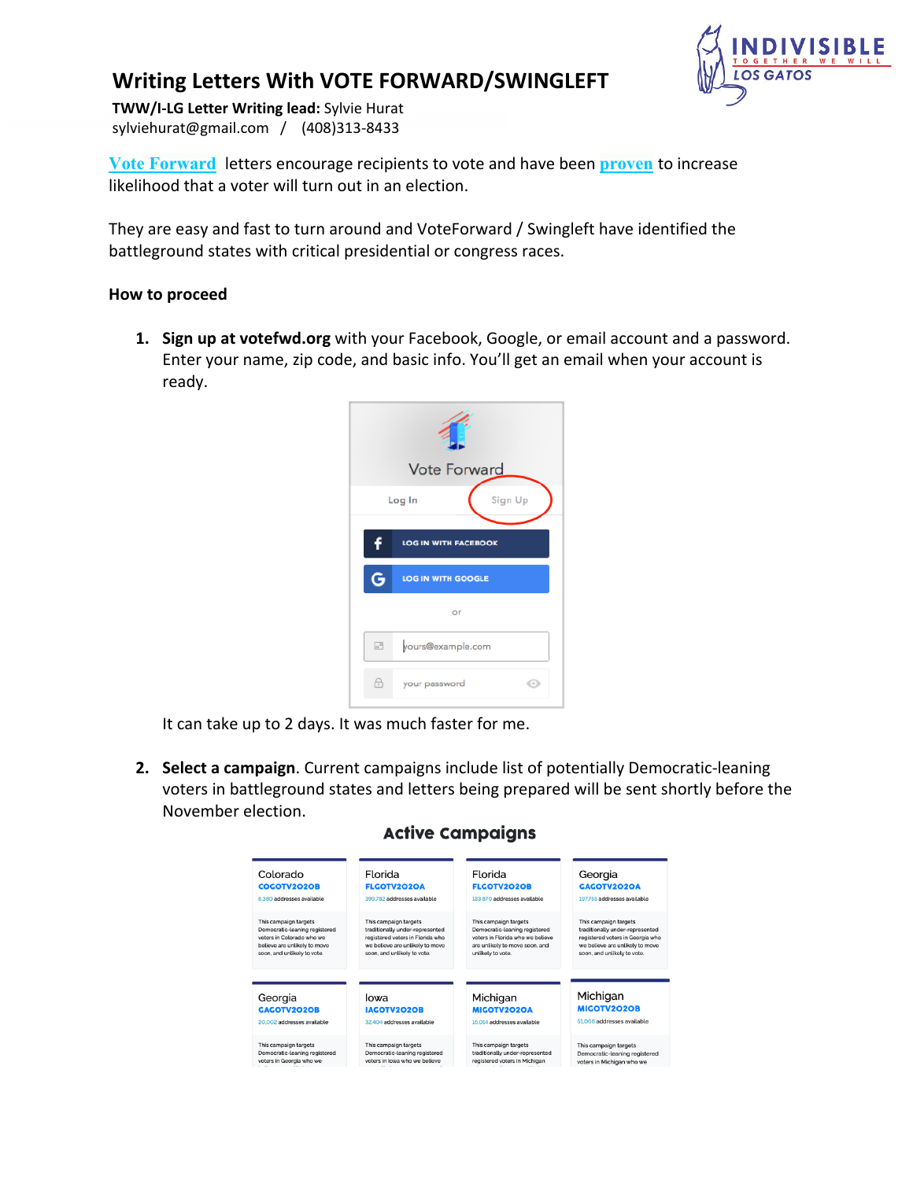## **Writing Letters With VOTE FORWARD/SWINGLEFT**



sylviehurat@gmail.com / (408)313-8433 **TWW/I-LG Letter Writing lead:** Sylvie Hurat

**Vote Forward** letters encourage recipients to vote and have been **proven** to increase likelihood that a voter will turn out in an election.

They are easy and fast to turn around and VoteForward / Swingleft have identified the battleground states with critical presidential or congress races.

## **How to proceed**

**1. Sign up at votefwd.org** with your Facebook, Google, or email account and a password. Enter your name, zip code, and basic info. You'll get an email when your account is ready.



It can take up to 2 days. It was much faster for me.

**2. Select a campaign**. Current campaigns include list of potentially Democratic-leaning voters in battleground states and letters being prepared will be sent shortly before the November election.

| Colorado                      | Florida                          | Florida                          | Georgia                          |
|-------------------------------|----------------------------------|----------------------------------|----------------------------------|
| <b>COGOTV2O2OB</b>            | <b>FLGOTV2O2OA</b>               | <b>FLGOTV2O2OB</b>               | GAGOTV2O2OA                      |
| 8.380 addresses available     | 399.782 addresses available      | 183.870 addresses available      | 197.755 addresses available      |
| This campaign targets         | This campaign targets            | This campaign targets            | This campaign targets            |
| Democratic-leaning registered | traditionally under-represented  | Democratic-leaning registered    | traditionally under-represented  |
| voters in Colorado who we     | registered voters in Florida who | voters in Florida who we believe | registered voters in Georgia who |
| believe are unlikely to move  | we believe are unlikely to move  | are unlikely to move soon, and   | we believe are unlikely to move  |
| soon, and unlikely to vote.   | soon, and unlikely to vote.      | unlikely to vote.                | soon, and unlikely to vote.      |
| Georgia                       | lowa                             | Michigan                         | Michigan                         |
| <b>GAGOTV2O2OB</b>            | <b>IACOTV2020B</b>               | MIGOTV2020A                      | MIGOTV2O2OB                      |
| 20.002 addresses available    | 32.404 addresses available       | 16.014 addresses available       | 51.066 addresses available       |
| This campaign targets         | This campaign targets            | This campaign targets            | This campaign targets            |
| Democratic-leaning registered | Democratic-leaning registered    | traditionally under-represented  | Democratic-leaning registered    |
| voters in Georgia who we      | voters in lowa who we believe    | registered voters in Michigan    | voters in Michigan who we        |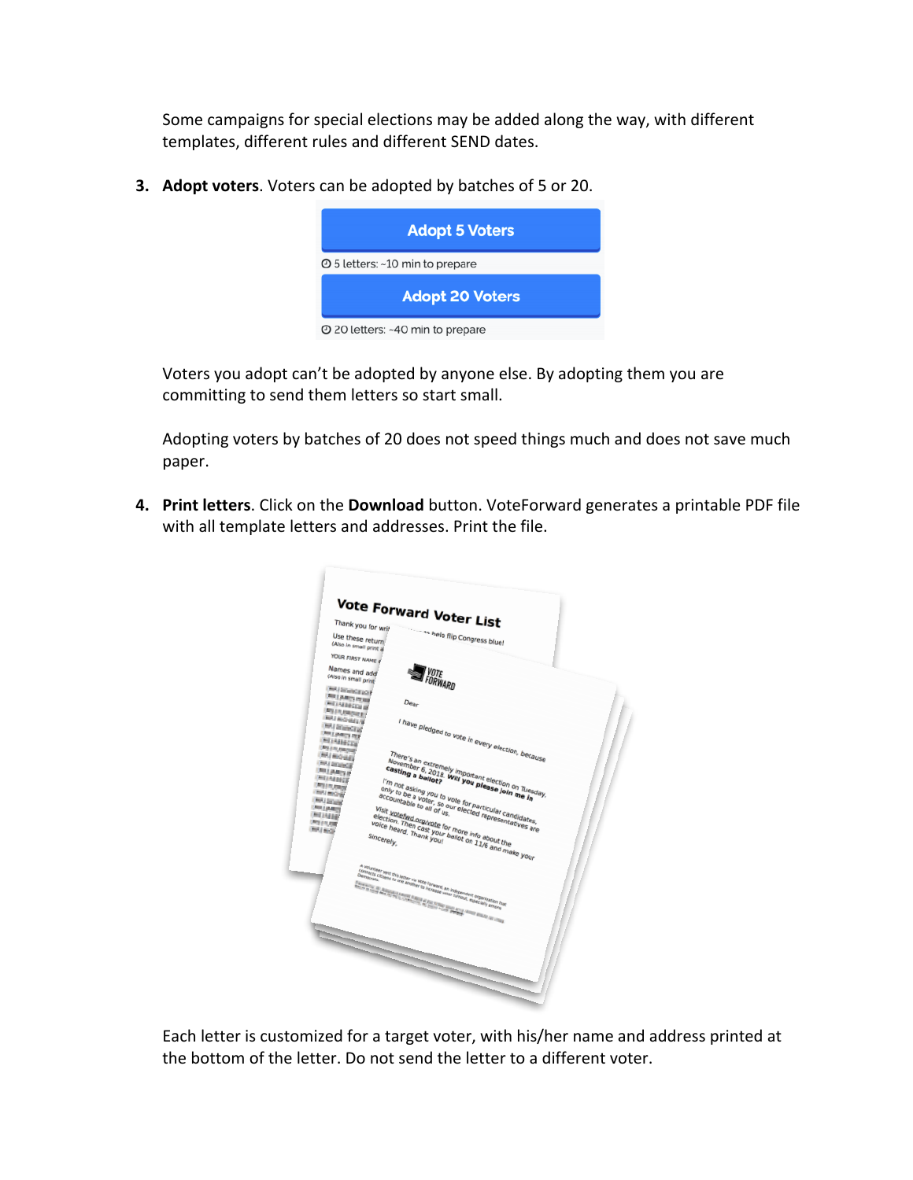Some campaigns for special elections may be added along the way, with different templates, different rules and different SEND dates.

**3. Adopt voters**. Voters can be adopted by batches of 5 or 20.



Voters you adopt can't be adopted by anyone else. By adopting them you are committing to send them letters so start small.

Adopting voters by batches of 20 does not speed things much and does not save much paper.

**4. Print letters**. Click on the **Download** button. VoteForward generates a printable PDF file with all template letters and addresses. Print the file.

| <b>Vote Forward Voter List</b>                                                                                                                                                                                                                                                                                                                                                                                                                                                                                                                                                                                                                                                                                                                                                                                                                                                                                                                                         |
|------------------------------------------------------------------------------------------------------------------------------------------------------------------------------------------------------------------------------------------------------------------------------------------------------------------------------------------------------------------------------------------------------------------------------------------------------------------------------------------------------------------------------------------------------------------------------------------------------------------------------------------------------------------------------------------------------------------------------------------------------------------------------------------------------------------------------------------------------------------------------------------------------------------------------------------------------------------------|
| Thank you for writ                                                                                                                                                                                                                                                                                                                                                                                                                                                                                                                                                                                                                                                                                                                                                                                                                                                                                                                                                     |
| ------ help flip Congress blue!<br>Use these return<br>(Also in small print a                                                                                                                                                                                                                                                                                                                                                                                                                                                                                                                                                                                                                                                                                                                                                                                                                                                                                          |
| YOUR FIRST NAME 6                                                                                                                                                                                                                                                                                                                                                                                                                                                                                                                                                                                                                                                                                                                                                                                                                                                                                                                                                      |
| Names and add<br><i>VOTE<br/>FORWARD</i><br>(Also in small print)                                                                                                                                                                                                                                                                                                                                                                                                                                                                                                                                                                                                                                                                                                                                                                                                                                                                                                      |
| <b>MI ROKEOF</b>                                                                                                                                                                                                                                                                                                                                                                                                                                                                                                                                                                                                                                                                                                                                                                                                                                                                                                                                                       |
| <b>RELAXING PERMIT</b><br>Dear                                                                                                                                                                                                                                                                                                                                                                                                                                                                                                                                                                                                                                                                                                                                                                                                                                                                                                                                         |
| <b>MIAIMEDIA</b><br><b>Millingham</b>                                                                                                                                                                                                                                                                                                                                                                                                                                                                                                                                                                                                                                                                                                                                                                                                                                                                                                                                  |
| <b>INVESTIGATION</b><br>I have pledged to vote in every election, because                                                                                                                                                                                                                                                                                                                                                                                                                                                                                                                                                                                                                                                                                                                                                                                                                                                                                              |
| <b>INTERNATIONAL</b><br><b><i>DELTARTING</i></b>                                                                                                                                                                                                                                                                                                                                                                                                                                                                                                                                                                                                                                                                                                                                                                                                                                                                                                                       |
| <b>MINIMIZE</b>                                                                                                                                                                                                                                                                                                                                                                                                                                                                                                                                                                                                                                                                                                                                                                                                                                                                                                                                                        |
| <b>RELEASED</b>                                                                                                                                                                                                                                                                                                                                                                                                                                                                                                                                                                                                                                                                                                                                                                                                                                                                                                                                                        |
| There's an extremely important election on Tuesday,<br><b>INTERNATIONAL</b><br>Inches an extremely individuals encounter the SOTS WIND DU Please John me In<br><b>MAI DESIGNER</b>                                                                                                                                                                                                                                                                                                                                                                                                                                                                                                                                                                                                                                                                                                                                                                                     |
| casting a ballot?<br><b>MILLANDIA</b>                                                                                                                                                                                                                                                                                                                                                                                                                                                                                                                                                                                                                                                                                                                                                                                                                                                                                                                                  |
| MINMIX<br>I'm not asking you to vote for particular candidates,                                                                                                                                                                                                                                                                                                                                                                                                                                                                                                                                                                                                                                                                                                                                                                                                                                                                                                        |
| <b>Mill Filt Allege</b><br>The Trine South Park of Water Day Personal Concentration, Care and Concentration of the Art of Transaction of the Art of Transaction, Care and Concentration of the Art of Transaction of the Art of Transaction of the Art of<br><b>MISOR</b>                                                                                                                                                                                                                                                                                                                                                                                                                                                                                                                                                                                                                                                                                              |
| accountable to all of us.<br><b>ANTI DELLINE</b>                                                                                                                                                                                                                                                                                                                                                                                                                                                                                                                                                                                                                                                                                                                                                                                                                                                                                                                       |
| <b><i>PRI BANK</i></b>                                                                                                                                                                                                                                                                                                                                                                                                                                                                                                                                                                                                                                                                                                                                                                                                                                                                                                                                                 |
| MIAME                                                                                                                                                                                                                                                                                                                                                                                                                                                                                                                                                                                                                                                                                                                                                                                                                                                                                                                                                                  |
| <b>RELEASE</b><br>voice heard. Thank you!<br><b>Mino</b>                                                                                                                                                                                                                                                                                                                                                                                                                                                                                                                                                                                                                                                                                                                                                                                                                                                                                                               |
| Sincerely,                                                                                                                                                                                                                                                                                                                                                                                                                                                                                                                                                                                                                                                                                                                                                                                                                                                                                                                                                             |
| Visit votefled orn/vote for more info about the<br>Visit Statement Blackman by Irang tiny appear the Statement of the Statement of the Statement of the Statement of the Statement of the Statement of the Statement of the Statement of the Statement of the Statement of the St                                                                                                                                                                                                                                                                                                                                                                                                                                                                                                                                                                                                                                                                                      |
|                                                                                                                                                                                                                                                                                                                                                                                                                                                                                                                                                                                                                                                                                                                                                                                                                                                                                                                                                                        |
|                                                                                                                                                                                                                                                                                                                                                                                                                                                                                                                                                                                                                                                                                                                                                                                                                                                                                                                                                                        |
|                                                                                                                                                                                                                                                                                                                                                                                                                                                                                                                                                                                                                                                                                                                                                                                                                                                                                                                                                                        |
|                                                                                                                                                                                                                                                                                                                                                                                                                                                                                                                                                                                                                                                                                                                                                                                                                                                                                                                                                                        |
|                                                                                                                                                                                                                                                                                                                                                                                                                                                                                                                                                                                                                                                                                                                                                                                                                                                                                                                                                                        |
| $A_{\frac{1}{12}}\sum_{\substack{1\leq i_1\leq j_1\leq j_2\leq k_1\leq k_2\leq k_1\leq k_2\leq k_1\leq k_2\leq k_2\leq k_2\leq k_1\leq k_2\leq k_1\leq k_2\leq k_2\leq k_2\leq k_1\leq k_2\leq k_1\leq k_2\leq k_2\leq k_2\leq k_2\leq k_2\leq k_2\leq k_2\leq k_2\leq k_2\leq k_2\leq k_2\leq k_2\leq k_2\leq k$<br>A salarang Cintan Da William Di Hawaii, ay indrindra amin'ny fivondronan-kaominin'i Casar ao amin'ny faritr'i<br>George dia Grand Da Grand Maritim ny taona mandritry ny Frantsa.<br>George dia Grand Da William ny taona mananta a<br>$\begin{split} \frac{1}{\sqrt{2\pi}\sqrt{2\pi}}\frac{1}{\sqrt{2\pi}}\frac{1}{\sqrt{2\pi}\sqrt{2\pi}}\frac{1}{\sqrt{2\pi}\sqrt{2\pi}}\frac{1}{\sqrt{2\pi}}\frac{1}{\sqrt{2\pi}}\frac{1}{\sqrt{2\pi}}\frac{1}{\sqrt{2\pi}}\frac{1}{\sqrt{2\pi}}\frac{1}{\sqrt{2\pi}}\frac{1}{\sqrt{2\pi}}\frac{1}{\sqrt{2\pi}}\frac{1}{\sqrt{2\pi}}\frac{1}{\sqrt{2\pi}}\frac{1}{\sqrt{2\pi}}\frac{1}{\sqrt{2\pi}}\frac{1}{$ |
|                                                                                                                                                                                                                                                                                                                                                                                                                                                                                                                                                                                                                                                                                                                                                                                                                                                                                                                                                                        |
|                                                                                                                                                                                                                                                                                                                                                                                                                                                                                                                                                                                                                                                                                                                                                                                                                                                                                                                                                                        |
|                                                                                                                                                                                                                                                                                                                                                                                                                                                                                                                                                                                                                                                                                                                                                                                                                                                                                                                                                                        |
|                                                                                                                                                                                                                                                                                                                                                                                                                                                                                                                                                                                                                                                                                                                                                                                                                                                                                                                                                                        |
|                                                                                                                                                                                                                                                                                                                                                                                                                                                                                                                                                                                                                                                                                                                                                                                                                                                                                                                                                                        |
|                                                                                                                                                                                                                                                                                                                                                                                                                                                                                                                                                                                                                                                                                                                                                                                                                                                                                                                                                                        |
|                                                                                                                                                                                                                                                                                                                                                                                                                                                                                                                                                                                                                                                                                                                                                                                                                                                                                                                                                                        |
|                                                                                                                                                                                                                                                                                                                                                                                                                                                                                                                                                                                                                                                                                                                                                                                                                                                                                                                                                                        |
|                                                                                                                                                                                                                                                                                                                                                                                                                                                                                                                                                                                                                                                                                                                                                                                                                                                                                                                                                                        |
|                                                                                                                                                                                                                                                                                                                                                                                                                                                                                                                                                                                                                                                                                                                                                                                                                                                                                                                                                                        |
|                                                                                                                                                                                                                                                                                                                                                                                                                                                                                                                                                                                                                                                                                                                                                                                                                                                                                                                                                                        |

Each letter is customized for a target voter, with his/her name and address printed at the bottom of the letter. Do not send the letter to a different voter.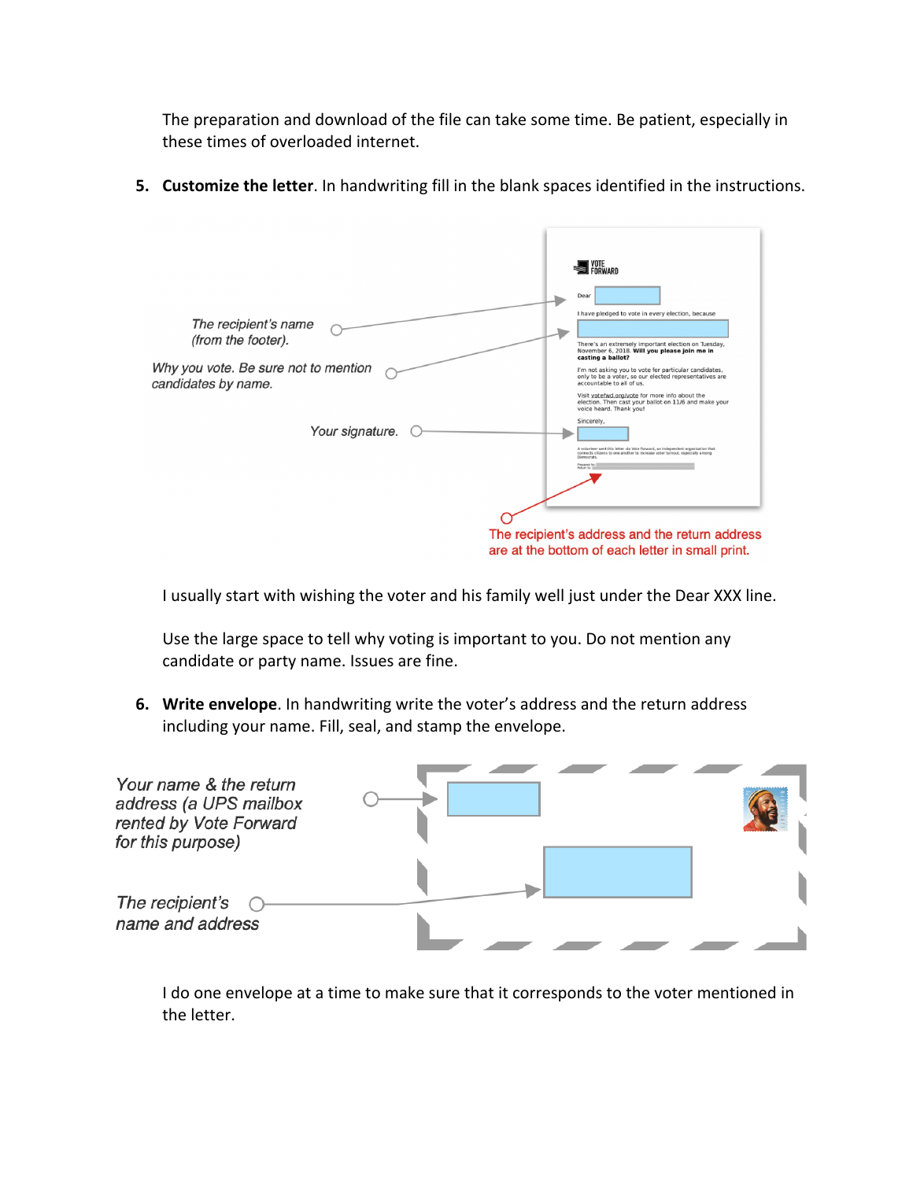The preparation and download of the file can take some time. Be patient, especially in these times of overloaded internet.

**5. Customize the letter**. In handwriting fill in the blank spaces identified in the instructions.



I usually start with wishing the voter and his family well just under the Dear XXX line.

Use the large space to tell why voting is important to you. Do not mention any candidate or party name. Issues are fine.

**6. Write envelope**. In handwriting write the voter's address and the return address including your name. Fill, seal, and stamp the envelope.



I do one envelope at a time to make sure that it corresponds to the voter mentioned in the letter.